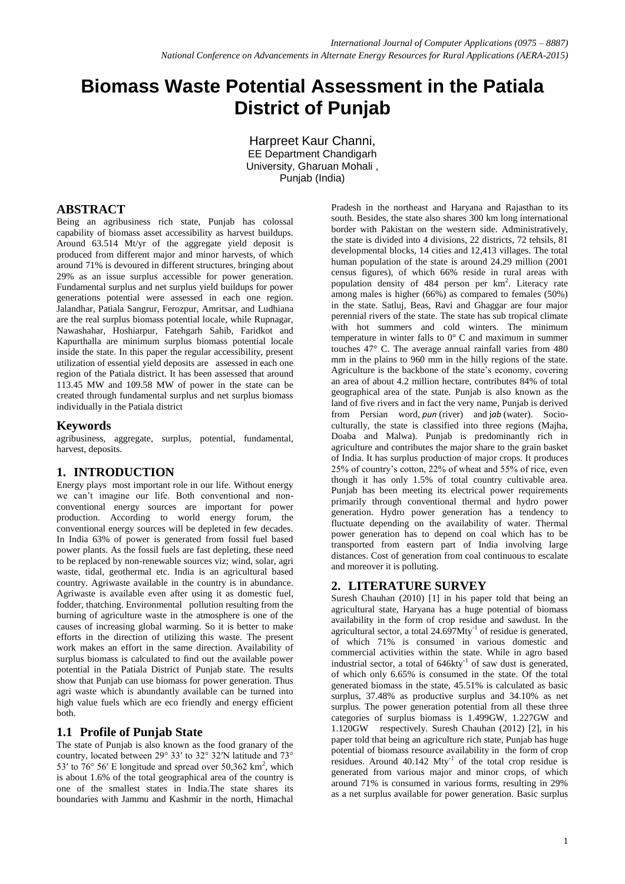# **Biomass Waste Potential Assessment in the Patiala District of Punjab**

Harpreet Kaur Channi, EE Department Chandigarh University, Gharuan Mohali , Punjab (India)

# **ABSTRACT**

Being an agribusiness rich state, Punjab has colossal capability of biomass asset accessibility as harvest buildups. Around 63.514 Mt/yr of the aggregate yield deposit is produced from different major and minor harvests, of which around 71% is devoured in different structures, bringing about 29% as an issue surplus accessible for power generation. Fundamental surplus and net surplus yield buildups for power generations potential were assessed in each one region. Jalandhar, Patiala Sangrur, Ferozpur, Amritsar, and Ludhiana are the real surplus biomass potential locale, while Rupnagar, Nawashahar, Hoshiarpur, Fatehgarh Sahib, Faridkot and Kapurthalla are minimum surplus biomass potential locale inside the state. In this paper the regular accessibility, present utilization of essential yield deposits are assessed in each one region of the Patiala district. It has been assessed that around 113.45 MW and 109.58 MW of power in the state can be created through fundamental surplus and net surplus biomass individually in the Patiala district

#### **Keywords**

agribusiness, aggregate, surplus, potential, fundamental, harvest, deposits.

#### **1. INTRODUCTION**

Energy plays most important role in our life. Without energy we can"t imagine our life. Both conventional and nonconventional energy sources are important for power production. According to world energy forum, the conventional energy sources will be depleted in few decades. In India 63% of power is generated from fossil fuel based power plants. As the fossil fuels are fast depleting, these need to be replaced by non-renewable sources viz; wind, solar, agri waste, tidal, geothermal etc. India is an agricultural based country. Agriwaste available in the country is in abundance. Agriwaste is available even after using it as domestic fuel, fodder, thatching. Environmental pollution resulting from the burning of agriculture waste in the atmosphere is one of the causes of increasing global warming. So it is better to make efforts in the direction of utilizing this waste. The present work makes an effort in the same direction. Availability of surplus biomass is calculated to find out the available power potential in the Patiala District of Punjab state. The results show that Punjab can use biomass for power generation. Thus agri waste which is abundantly available can be turned into high value fuels which are eco friendly and energy efficient both.

# **1.1 Profile of Punjab State**

The state of Punjab is also known as the food granary of the country, located between 29° 33ʹ to 32° 32ʹN latitude and 73° 53' to  $76^{\circ}$  56' E longitude and spread over 50,362 km<sup>2</sup>, which is about 1.6% of the total geographical area of the country is one of the smallest states in India.The state shares its boundaries with Jammu and Kashmir in the north, Himachal

Pradesh in the northeast and Haryana and Rajasthan to its south. Besides, the state also shares 300 km long international border with Pakistan on the western side. Administratively, the state is divided into 4 divisions, 22 districts, 72 tehsils, 81 developmental blocks, 14 cities and 12,413 villages. The total human population of the state is around 24.29 million (2001 census figures), of which 66% reside in rural areas with population density of 484 person per km<sup>2</sup>. Literacy rate among males is higher (66%) as compared to females (50%) in the state. Satluj, Beas, Ravi and Ghaggar are four major perennial rivers of the state. The state has sub tropical climate with hot summers and cold winters. The minimum temperature in winter falls to 0° C and maximum in summer touches 47° C. The average annual rainfall varies from 480 mm in the plains to 960 mm in the hilly regions of the state. Agriculture is the backbone of the state"s economy, covering an area of about 4.2 million hectare, contributes 84% of total geographical area of the state. Punjab is also known as the land of five rivers and in fact the very name, Punjab is derived from Persian word, *pun* (river) and j*ab* (water). Socioculturally, the state is classified into three regions (Majha, Doaba and Malwa). Punjab is predominantly rich in agriculture and contributes the major share to the grain basket of India. It has surplus production of major crops. It produces 25% of country"s cotton, 22% of wheat and 55% of rice, even though it has only 1.5% of total country cultivable area. Punjab has been meeting its electrical power requirements primarily through conventional thermal and hydro power generation. Hydro power generation has a tendency to fluctuate depending on the availability of water. Thermal power generation has to depend on coal which has to be transported from eastern part of India involving large distances. Cost of generation from coal continuous to escalate and moreover it is polluting.

# **2. LITERATURE SURVEY**

Suresh Chauhan (2010) [1] in his paper told that being an agricultural state, Haryana has a huge potential of biomass availability in the form of crop residue and sawdust. In the agricultural sector, a total  $24.697$ Mty<sup>-1</sup> of residue is generated, of which 71% is consumed in various domestic and commercial activities within the state. While in agro based industrial sector, a total of  $646$ kty $^{-1}$  of saw dust is generated, of which only 6.65% is consumed in the state. Of the total generated biomass in the state, 45.51% is calculated as basic surplus, 37.48% as productive surplus and 34.10% as net surplus. The power generation potential from all these three categories of surplus biomass is 1.499GW, 1.227GW and 1.120GW respectively. Suresh Chauhan (2012) [2], in his paper told that being an agriculture rich state, Punjab has huge potential of biomass resource availability in the form of crop residues. Around  $40.142$  Mty<sup>-1</sup> of the total crop residue is generated from various major and minor crops, of which around 71% is consumed in various forms, resulting in 29% as a net surplus available for power generation. Basic surplus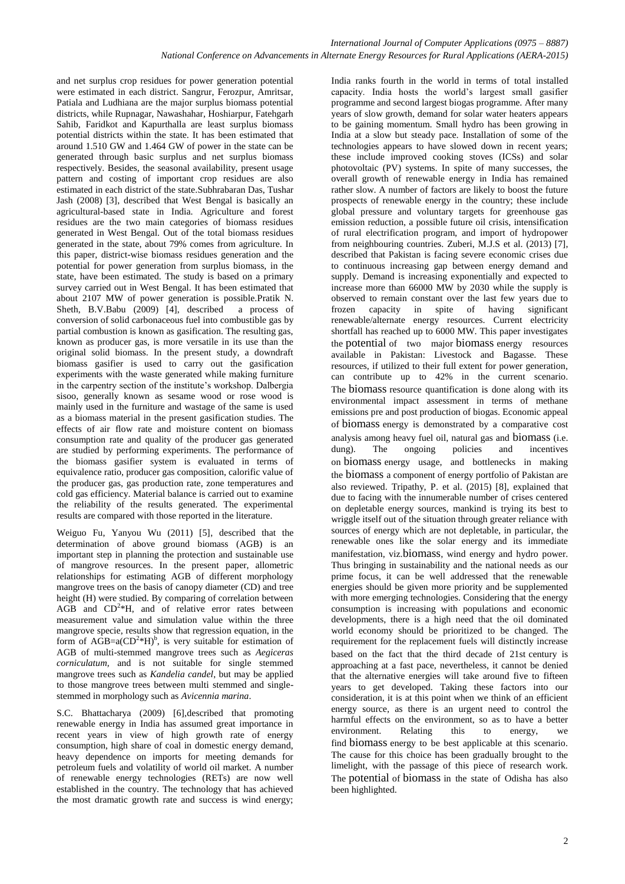and net surplus crop residues for power generation potential were estimated in each district. Sangrur, Ferozpur, Amritsar, Patiala and Ludhiana are the major surplus biomass potential districts, while Rupnagar, Nawashahar, Hoshiarpur, Fatehgarh Sahib, Faridkot and Kapurthalla are least surplus biomass potential districts within the state. It has been estimated that around 1.510 GW and 1.464 GW of power in the state can be generated through basic surplus and net surplus biomass respectively. Besides, the seasonal availability, present usage pattern and costing of important crop residues are also estimated in each district of the state.Subhrabaran Das, Tushar Jash (2008) [3], described that West Bengal is basically an agricultural-based state in India. Agriculture and forest residues are the two main categories of biomass residues generated in West Bengal. Out of the total biomass residues generated in the state, about 79% comes from agriculture. In this paper, district-wise biomass residues generation and the potential for power generation from surplus biomass, in the state, have been estimated. The study is based on a primary survey carried out in West Bengal. It has been estimated that about 2107 MW of power generation is possible.Pratik N. Sheth, B.V.Babu (2009) [4], described a process of conversion of solid carbonaceous fuel into combustible gas by partial combustion is known as gasification. The resulting gas, known as producer gas, is more versatile in its use than the original solid biomass. In the present study, a downdraft biomass gasifier is used to carry out the gasification experiments with the waste generated while making furniture in the carpentry section of the institute's workshop. Dalbergia sisoo, generally known as sesame wood or rose wood is mainly used in the furniture and wastage of the same is used as a biomass material in the present gasification studies. The effects of air flow rate and moisture content on biomass consumption rate and quality of the producer gas generated are studied by performing experiments. The performance of the biomass gasifier system is evaluated in terms of equivalence ratio, producer gas composition, calorific value of the producer gas, gas production rate, zone temperatures and cold gas efficiency. Material balance is carried out to examine the reliability of the results generated. The experimental results are compared with those reported in the literature.

Weiguo Fu, Yanyou Wu (2011) [5], described that the determination of above ground biomass (AGB) is an important step in planning the protection and sustainable use of mangrove resources. In the present paper, allometric relationships for estimating AGB of different morphology mangrove trees on the basis of canopy diameter (CD) and tree height (H) were studied. By comparing of correlation between  $AGB$  and  $CD<sup>2</sup>*H$ , and of relative error rates between measurement value and simulation value within the three mangrove specie, results show that regression equation, in the form of AGB=a( $CD<sup>2</sup>$ \*H)<sup>b</sup>, is very suitable for estimation of AGB of multi-stemmed mangrove trees such as *Aegiceras corniculatum,* and is not suitable for single stemmed mangrove trees such as *Kandelia candel*, but may be applied to those mangrove trees between multi stemmed and singlestemmed in morphology such as *Avicennia marina*.

S.C. Bhattacharya (2009) [6],described that promoting renewable energy in India has assumed great importance in recent years in view of high growth rate of energy consumption, high share of coal in domestic energy demand, heavy dependence on imports for meeting demands for petroleum fuels and volatility of world oil market. A number of renewable energy technologies (RETs) are now well established in the country. The technology that has achieved the most dramatic growth rate and success is wind energy;

India ranks fourth in the world in terms of total installed capacity. India hosts the world"s largest small gasifier programme and second largest biogas programme. After many years of slow growth, demand for solar water heaters appears to be gaining momentum. Small hydro has been growing in India at a slow but steady pace. Installation of some of the technologies appears to have slowed down in recent years; these include improved cooking stoves (ICSs) and solar photovoltaic (PV) systems. In spite of many successes, the overall growth of renewable energy in India has remained rather slow. A number of factors are likely to boost the future prospects of renewable energy in the country; these include global pressure and voluntary targets for greenhouse gas emission reduction, a possible future oil crisis, intensification of rural electrification program, and import of hydropower from neighbouring countries. Zuberi, M.J.S et al. (2013) [7], described that Pakistan is facing severe economic crises due to continuous increasing gap between energy demand and supply. Demand is increasing exponentially and expected to increase more than 66000 MW by 2030 while the supply is observed to remain constant over the last few years due to frozen capacity in spite of having significant renewable/alternate energy resources. Current electricity shortfall has reached up to 6000 MW. This paper investigates the potential of two major biomass energy resources available in Pakistan: Livestock and Bagasse. These resources, if utilized to their full extent for power generation, can contribute up to 42% in the current scenario. The biomass resource quantification is done along with its environmental impact assessment in terms of methane emissions pre and post production of biogas. Economic appeal of biomass energy is demonstrated by a comparative cost analysis among heavy fuel oil, natural gas and biomass (i.e. dung). The ongoing policies and incentives dung). The ongoing policies and incentives on biomass energy usage, and bottlenecks in making the biomass a component of energy portfolio of Pakistan are also reviewed. [Tripathy, P.](http://ieeexplore.ieee.org/search/searchresult.jsp?searchWithin=%22Authors%22:.QT.Tripathy%2C%20P..QT.&newsearch=true) et al. (2015) [8], explained that due to facing with the innumerable number of crises centered on depletable energy sources, mankind is trying its best to wriggle itself out of the situation through greater reliance with sources of energy which are not depletable, in particular, the renewable ones like the solar energy and its immediate manifestation, viz.biomass, wind energy and hydro power. Thus bringing in sustainability and the national needs as our prime focus, it can be well addressed that the renewable energies should be given more priority and be supplemented with more emerging technologies. Considering that the energy consumption is increasing with populations and economic developments, there is a high need that the oil dominated world economy should be prioritized to be changed. The requirement for the replacement fuels will distinctly increase based on the fact that the third decade of 21st century is approaching at a fast pace, nevertheless, it cannot be denied that the alternative energies will take around five to fifteen years to get developed. Taking these factors into our consideration, it is at this point when we think of an efficient energy source, as there is an urgent need to control the harmful effects on the environment, so as to have a better environment. Relating this to energy, we find biomass energy to be best applicable at this scenario. The cause for this choice has been gradually brought to the limelight, with the passage of this piece of research work. The potential of biomass in the state of Odisha has also been highlighted.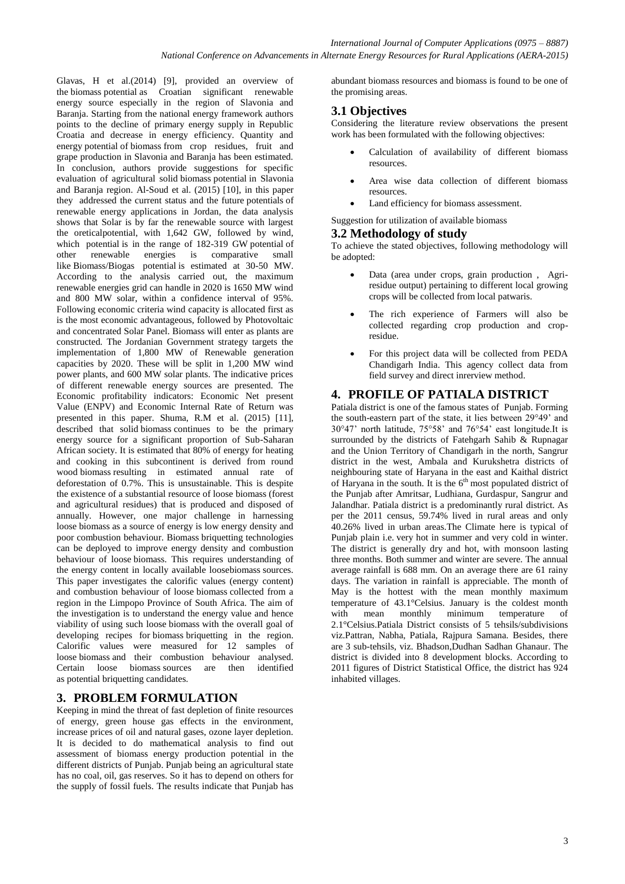Glavas, H et al.(2014) [9], provided an overview of the biomass potential as Croatian significant renewable energy source especially in the region of Slavonia and Baranja. Starting from the national energy framework authors points to the decline of primary energy supply in Republic Croatia and decrease in energy efficiency. Quantity and energy potential of biomass from crop residues, fruit and grape production in Slavonia and Baranja has been estimated. In conclusion, authors provide suggestions for specific evaluation of agricultural solid biomass potential in Slavonia and Baranja region. Al-Soud et al. (2015) [10], in this paper they addressed the current status and the future potentials of renewable energy applications in Jordan, the data analysis shows that Solar is by far the renewable source with largest the oreticalpotential, with 1,642 GW, followed by wind, which potential is in the range of 182-319 GW potential of other renewable energies is comparative small like Biomass/Biogas potential is estimated at 30-50 MW. According to the analysis carried out, the maximum renewable energies grid can handle in 2020 is 1650 MW wind and 800 MW solar, within a confidence interval of 95%. Following economic criteria wind capacity is allocated first as is the most economic advantageous, followed by Photovoltaic and concentrated Solar Panel. Biomass will enter as plants are constructed. The Jordanian Government strategy targets the implementation of 1,800 MW of Renewable generation capacities by 2020. These will be split in 1,200 MW wind power plants, and 600 MW solar plants. The indicative prices of different renewable energy sources are presented. The Economic profitability indicators: Economic Net present Value (ENPV) and Economic Internal Rate of Return was presented in this paper. Shuma, R.M et al. (2015) [11], described that solid biomass continues to be the primary energy source for a significant proportion of Sub-Saharan African society. It is estimated that 80% of energy for heating and cooking in this subcontinent is derived from round wood biomass resulting in estimated annual rate of deforestation of 0.7%. This is unsustainable. This is despite the existence of a substantial resource of loose biomass (forest and agricultural residues) that is produced and disposed of annually. However, one major challenge in harnessing loose biomass as a source of energy is low energy density and poor combustion behaviour. Biomass briquetting technologies can be deployed to improve energy density and combustion behaviour of loose biomass. This requires understanding of the energy content in locally available loosebiomass sources. This paper investigates the calorific values (energy content) and combustion behaviour of loose biomass collected from a region in the Limpopo Province of South Africa. The aim of the investigation is to understand the energy value and hence viability of using such loose biomass with the overall goal of developing recipes for biomass briquetting in the region. Calorific values were measured for 12 samples of loose biomass and their combustion behaviour analysed. Certain loose biomass sources are then identified as potential briquetting candidates.

#### **3. PROBLEM FORMULATION**

Keeping in mind the threat of fast depletion of finite resources of energy, green house gas effects in the environment, increase prices of oil and natural gases, ozone layer depletion. It is decided to do mathematical analysis to find out assessment of biomass energy production potential in the different districts of Punjab. Punjab being an agricultural state has no coal, oil, gas reserves. So it has to depend on others for the supply of fossil fuels. The results indicate that Punjab has

abundant biomass resources and biomass is found to be one of the promising areas.

## **3.1 Objectives**

Considering the literature review observations the present work has been formulated with the following objectives:

- Calculation of availability of different biomass resources.
- Area wise data collection of different biomass resources.
- Land efficiency for biomass assessment.

#### Suggestion for utilization of available biomass

#### **3.2 Methodology of study**

To achieve the stated objectives, following methodology will be adopted:

- Data (area under crops, grain production , Agriresidue output) pertaining to different local growing crops will be collected from local patwaris.
- The rich experience of Farmers will also be collected regarding crop production and cropresidue.
- For this project data will be collected from PEDA Chandigarh India. This agency collect data from field survey and direct inrerview method.

### **4. PROFILE OF PATIALA DISTRICT**

Patiala district is one of the famous states of Punjab. Forming the south-eastern part of the state, it lies between 29°49" and 30°47" north latitude, 75°58" and 76°54" east longitude.It is surrounded by the districts of Fatehgarh Sahib & Rupnagar and the Union Territory of Chandigarh in the north, Sangrur district in the west, Ambala and Kurukshetra districts of neighbouring state of Haryana in the east and Kaithal district of Haryana in the south. It is the  $6<sup>th</sup>$  most populated district of the Punjab after Amritsar, Ludhiana, Gurdaspur, Sangrur and Jalandhar. Patiala district is a predominantly rural district. As per the 2011 census, 59.74% lived in rural areas and only 40.26% lived in urban areas.The Climate here is typical of Punjab plain i.e. very hot in summer and very cold in winter. The district is generally dry and hot, with monsoon lasting three months. Both summer and winter are severe. The annual average rainfall is 688 mm. On an average there are 61 rainy days. The variation in rainfall is appreciable. The month of May is the hottest with the mean monthly maximum temperature of 43.1°Celsius. January is the coldest month<br>with mean monthly minimum temperature of with mean monthly minimum temperature of 2.1°Celsius.Patiala District consists of 5 tehsils/subdivisions viz.Pattran, Nabha, Patiala, Rajpura Samana. Besides, there are 3 sub-tehsils, viz. Bhadson,Dudhan Sadhan Ghanaur. The district is divided into 8 development blocks. According to 2011 figures of District Statistical Office, the district has 924 inhabited villages.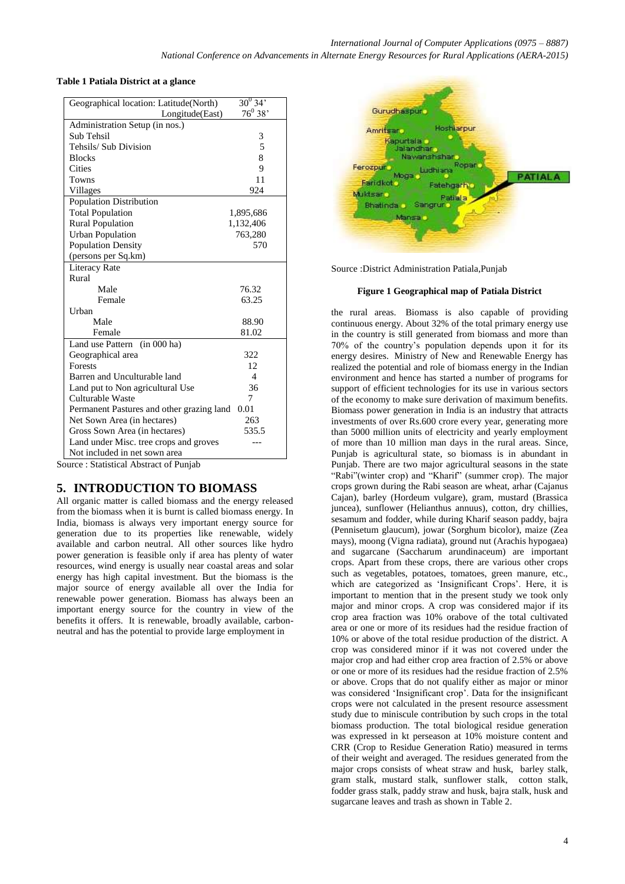*National Conference on Advancements in Alternate Energy Resources for Rural Applications (AERA-2015)*

#### **Table 1 Patiala District at a glance**

| Geographical location: Latitude(North)    | $30^{0}$ 34'             |
|-------------------------------------------|--------------------------|
| Longitude(East)                           | $76^0 38'$               |
| Administration Setup (in nos.)            |                          |
| Sub Tehsil                                | 3                        |
| Tehsils/ Sub Division                     | 5                        |
| <b>Blocks</b>                             | 8                        |
| Cities                                    | 9                        |
| <b>Towns</b>                              | 11                       |
| Villages                                  | 924                      |
| Population Distribution                   |                          |
| <b>Total Population</b>                   | 1,895,686                |
| <b>Rural Population</b>                   | 1,132,406                |
| <b>Urban Population</b>                   | 763,280                  |
| <b>Population Density</b>                 | 570                      |
| (persons per Sq.km)                       |                          |
| <b>Literacy Rate</b>                      |                          |
| Rural                                     |                          |
| Male                                      | 76.32                    |
| Female                                    | 63.25                    |
| <b>Urban</b>                              |                          |
| Male                                      | 88.90                    |
| Female                                    | 81.02                    |
| (in 000 ha)<br>Land use Pattern           |                          |
| Geographical area                         | 322                      |
| <b>Forests</b>                            | 12.                      |
| Barren and Unculturable land              | $\overline{\mathcal{A}}$ |
| Land put to Non agricultural Use          | 36                       |
| Culturable Waste                          | 7                        |
| Permanent Pastures and other grazing land | 0.01                     |
| Net Sown Area (in hectares)               | 263                      |
| Gross Sown Area (in hectares)             | 535.5                    |
| Land under Misc. tree crops and groves    | ---                      |
| Not included in net sown area             |                          |
| Source: Statistical Abstract of Punjab    |                          |

#### **5. INTRODUCTION TO BIOMASS**

All organic matter is called biomass and the energy released from the biomass when it is burnt is called biomass energy. In India, biomass is always very important energy source for generation due to its properties like renewable, widely available and carbon neutral. All other sources like hydro power generation is feasible only if area has plenty of water resources, wind energy is usually near coastal areas and solar energy has high capital investment. But the biomass is the major source of energy available all over the India for renewable power generation. Biomass has always been an important energy source for the country in view of the benefits it offers. It is renewable, broadly available, carbonneutral and has the potential to provide large employment in



Source :District Administration Patiala,Punjab

#### **Figure 1 Geographical map of Patiala District**

the rural areas. Biomass is also capable of providing continuous energy. About 32% of the total primary energy use in the country is still generated from biomass and more than 70% of the country"s population depends upon it for its energy desires. Ministry of New and Renewable Energy has realized the potential and role of biomass energy in the Indian environment and hence has started a number of programs for support of efficient technologies for its use in various sectors of the economy to make sure derivation of maximum benefits. Biomass power generation in India is an industry that attracts investments of over Rs.600 crore every year, generating more than 5000 million units of electricity and yearly employment of more than 10 million man days in the rural areas. Since, Punjab is agricultural state, so biomass is in abundant in Punjab. There are two major agricultural seasons in the state "Rabi"(winter crop) and "Kharif" (summer crop). The major crops grown during the Rabi season are wheat, arhar (Cajanus Cajan), barley (Hordeum vulgare), gram, mustard (Brassica juncea), sunflower (Helianthus annuus), cotton, dry chillies, sesamum and fodder, while during Kharif season paddy, bajra (Pennisetum glaucum), jowar (Sorghum bicolor), maize (Zea mays), moong (Vigna radiata), ground nut (Arachis hypogaea) and sugarcane (Saccharum arundinaceum) are important crops. Apart from these crops, there are various other crops such as vegetables, potatoes, tomatoes, green manure, etc., which are categorized as 'Insignificant Crops'. Here, it is important to mention that in the present study we took only major and minor crops. A crop was considered major if its crop area fraction was 10% orabove of the total cultivated area or one or more of its residues had the residue fraction of 10% or above of the total residue production of the district. A crop was considered minor if it was not covered under the major crop and had either crop area fraction of 2.5% or above or one or more of its residues had the residue fraction of 2.5% or above. Crops that do not qualify either as major or minor was considered 'Insignificant crop'. Data for the insignificant crops were not calculated in the present resource assessment study due to miniscule contribution by such crops in the total biomass production. The total biological residue generation was expressed in kt perseason at 10% moisture content and CRR (Crop to Residue Generation Ratio) measured in terms of their weight and averaged. The residues generated from the major crops consists of wheat straw and husk, barley stalk, gram stalk, mustard stalk, sunflower stalk, cotton stalk, fodder grass stalk, paddy straw and husk, bajra stalk, husk and sugarcane leaves and trash as shown in Table 2.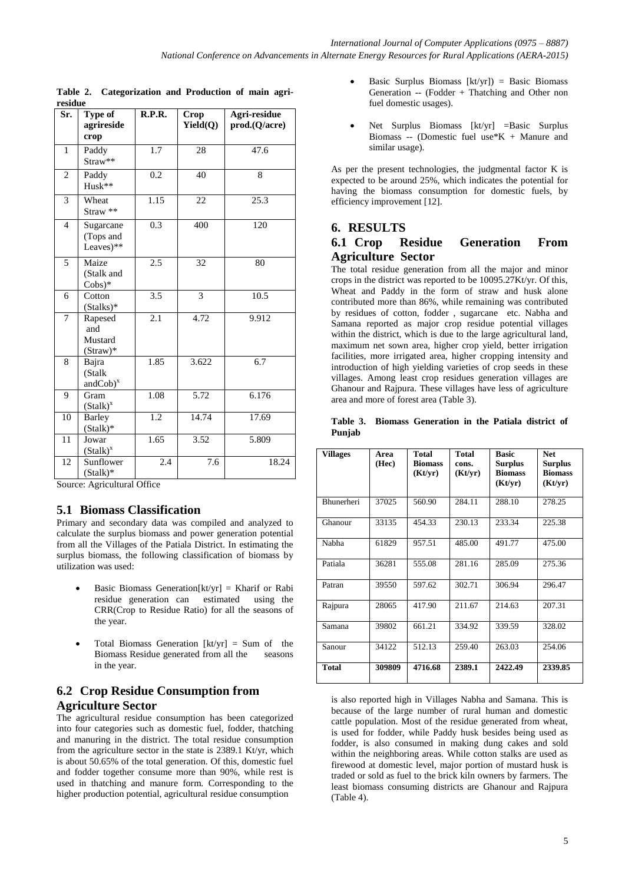| Sr.                      | Type of<br>agrireside<br>crop             | R.P.R.           | <b>Crop</b><br>Yield(Q) | Agri-residue<br>prod.(Q/acre) |
|--------------------------|-------------------------------------------|------------------|-------------------------|-------------------------------|
| $\mathbf{1}$             | Paddy<br>Straw**                          | $\overline{1.7}$ | 28                      | 47.6                          |
| $\overline{2}$           | Paddy<br>Husk**                           | 0.2              | 40                      | 8                             |
| 3                        | Wheat<br>Straw **                         | 1.15             | 22                      | 25.3                          |
| $\overline{\mathcal{L}}$ | Sugarcane<br>(Tops and<br>Leaves $)$ **   | $\overline{0.3}$ | 400                     | 120                           |
| 5                        | Maize<br>(Stalk and<br>$Cobs)*$           | 2.5              | 32                      | 80                            |
| 6                        | Cotton<br>(Stalks)*                       | 3.5              | 3                       | 10.5                          |
| 7                        | Rapesed<br>and<br>Mustard<br>$(Straw)*$   | 2.1              | 4.72                    | 9.912                         |
| 8                        | Bajra<br>(Stalk<br>$andCob)$ <sup>x</sup> | 1.85             | 3.622                   | 6.7                           |
| 9                        | Gram<br>$(Stalk)^{x}$                     | 1.08             | 5.72                    | 6.176                         |
| 10                       | <b>Barley</b><br>$(Stalk)*$               | $\overline{1.2}$ | 14.74                   | 17.69                         |
| 11                       | Jowar<br>$(Stalk)^x$                      | 1.65             | 3.52                    | 5.809                         |
| 12                       | Sunflower<br>$(Stalk)*$                   | 2.4              | 7.6                     | 18.24                         |

**Table 2. Categorization and Production of main agriresidue**

Source: Agricultural Office

#### **5.1 Biomass Classification**

Primary and secondary data was compiled and analyzed to calculate the surplus biomass and power generation potential from all the Villages of the Patiala District. In estimating the surplus biomass, the following classification of biomass by utilization was used:

- Basic Biomass Generation $[kt/yr]$  = Kharif or Rabi residue generation can estimated using the CRR(Crop to Residue Ratio) for all the seasons of the year.
- Total Biomass Generation  $[kt/yr] = Sum$  of the Biomass Residue generated from all the seasons in the year.

# **6.2 Crop Residue Consumption from Agriculture Sector**

The agricultural residue consumption has been categorized into four categories such as domestic fuel, fodder, thatching and manuring in the district. The total residue consumption from the agriculture sector in the state is 2389.1 Kt/yr, which is about 50.65% of the total generation. Of this, domestic fuel and fodder together consume more than 90%, while rest is used in thatching and manure form. Corresponding to the higher production potential, agricultural residue consumption

- Basic Surplus Biomass  $[kt/yr]$ ) = Basic Biomass Generation -- (Fodder + Thatching and Other non fuel domestic usages).
- Net Surplus Biomass [kt/yr] =Basic Surplus Biomass -- (Domestic fuel use\*K + Manure and similar usage).

As per the present technologies, the judgmental factor K is expected to be around 25%, which indicates the potential for having the biomass consumption for domestic fuels, by efficiency improvement [12].

# **6. RESULTS 6.1 Crop Residue Generation From Agriculture Sector**

The total residue generation from all the major and minor crops in the district was reported to be 10095.27Kt/yr. Of this, Wheat and Paddy in the form of straw and husk alone contributed more than 86%, while remaining was contributed by residues of cotton, fodder , sugarcane etc. Nabha and Samana reported as major crop residue potential villages within the district, which is due to the large agricultural land, maximum net sown area, higher crop yield, better irrigation facilities, more irrigated area, higher cropping intensity and introduction of high yielding varieties of crop seeds in these villages. Among least crop residues generation villages are Ghanour and Rajpura. These villages have less of agriculture area and more of forest area (Table 3).

|        | Table 3. Biomass Generation in the Patiala district of |  |  |  |
|--------|--------------------------------------------------------|--|--|--|
| Punjab |                                                        |  |  |  |

| Villages          | Area<br>(Hec) | Total<br><b>Biomass</b><br>(Kt/yr) | <b>Total</b><br>cons.<br>(Kt/yr) | <b>Basic</b><br><b>Surplus</b><br><b>Biomass</b><br>(Kt/yr) | <b>Net</b><br><b>Surplus</b><br><b>Biomass</b><br>(Kt/yr) |
|-------------------|---------------|------------------------------------|----------------------------------|-------------------------------------------------------------|-----------------------------------------------------------|
| <b>Bhunerheri</b> | 37025         | 560.90                             | 284.11                           | 288.10                                                      | 278.25                                                    |
| Ghanour           | 33135         | 454.33                             | 230.13                           | 233.34                                                      | 225.38                                                    |
| Nabha             | 61829         | 957.51                             | 485.00                           | 491.77                                                      | 475.00                                                    |
| Patiala           | 36281         | 555.08                             | 281.16                           | 285.09                                                      | 275.36                                                    |
| Patran            | 39550         | 597.62                             | 302.71                           | 306.94                                                      | 296.47                                                    |
| Rajpura           | 28065         | 417.90                             | 211.67                           | 214.63                                                      | 207.31                                                    |
| Samana            | 39802         | 661.21                             | 334.92                           | 339.59                                                      | 328.02                                                    |
| Sanour            | 34122         | 512.13                             | 259.40                           | 263.03                                                      | 254.06                                                    |
| <b>Total</b>      | 309809        | 4716.68                            | 2389.1                           | 2422.49                                                     | 2339.85                                                   |

is also reported high in Villages Nabha and Samana. This is because of the large number of rural human and domestic cattle population. Most of the residue generated from wheat, is used for fodder, while Paddy husk besides being used as fodder, is also consumed in making dung cakes and sold within the neighboring areas. While cotton stalks are used as firewood at domestic level, major portion of mustard husk is traded or sold as fuel to the brick kiln owners by farmers. The least biomass consuming districts are Ghanour and Rajpura (Table 4).